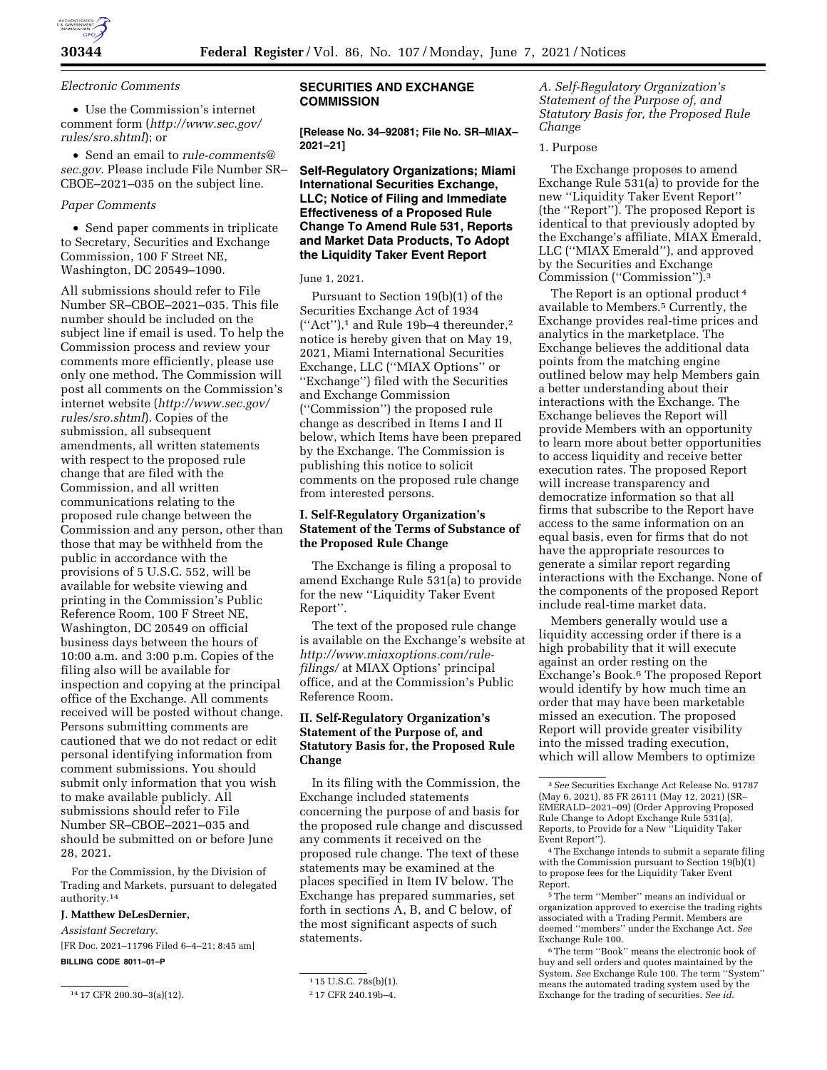

*Electronic Comments* 

• Use the Commission's internet comment form (*[http://www.sec.gov/](http://www.sec.gov/rules/sro.shtml)  [rules/sro.shtml](http://www.sec.gov/rules/sro.shtml)*); or

• Send an email to *[rule-comments@](mailto:rule-comments@sec.gov) [sec.gov](mailto:rule-comments@sec.gov)*. Please include File Number SR– CBOE–2021–035 on the subject line.

#### *Paper Comments*

• Send paper comments in triplicate to Secretary, Securities and Exchange Commission, 100 F Street NE, Washington, DC 20549–1090.

All submissions should refer to File Number SR–CBOE–2021–035. This file number should be included on the subject line if email is used. To help the Commission process and review your comments more efficiently, please use only one method. The Commission will post all comments on the Commission's internet website (*[http://www.sec.gov/](http://www.sec.gov/rules/sro.shtml)  [rules/sro.shtml](http://www.sec.gov/rules/sro.shtml)*). Copies of the submission, all subsequent amendments, all written statements with respect to the proposed rule change that are filed with the Commission, and all written communications relating to the proposed rule change between the Commission and any person, other than those that may be withheld from the public in accordance with the provisions of 5 U.S.C. 552, will be available for website viewing and printing in the Commission's Public Reference Room, 100 F Street NE, Washington, DC 20549 on official business days between the hours of 10:00 a.m. and 3:00 p.m. Copies of the filing also will be available for inspection and copying at the principal office of the Exchange. All comments received will be posted without change. Persons submitting comments are cautioned that we do not redact or edit personal identifying information from comment submissions. You should submit only information that you wish to make available publicly. All submissions should refer to File Number SR–CBOE–2021–035 and should be submitted on or before June 28, 2021.

For the Commission, by the Division of Trading and Markets, pursuant to delegated authority.14

#### **J. Matthew DeLesDernier,**

*Assistant Secretary.* 

[FR Doc. 2021–11796 Filed 6–4–21; 8:45 am] **BILLING CODE 8011–01–P** 

14 17 CFR 200.30–3(a)(12).

# **SECURITIES AND EXCHANGE COMMISSION**

**[Release No. 34–92081; File No. SR–MIAX– 2021–21]** 

# **Self-Regulatory Organizations; Miami International Securities Exchange, LLC; Notice of Filing and Immediate Effectiveness of a Proposed Rule Change To Amend Rule 531, Reports and Market Data Products, To Adopt the Liquidity Taker Event Report**

### June 1, 2021.

Pursuant to Section 19(b)(1) of the Securities Exchange Act of 1934  $("Act")$ ,<sup>1</sup> and Rule 19b-4 thereunder,<sup>2</sup> notice is hereby given that on May 19, 2021, Miami International Securities Exchange, LLC (''MIAX Options'' or ''Exchange'') filed with the Securities and Exchange Commission (''Commission'') the proposed rule change as described in Items I and II below, which Items have been prepared by the Exchange. The Commission is publishing this notice to solicit comments on the proposed rule change from interested persons.

# **I. Self-Regulatory Organization's Statement of the Terms of Substance of the Proposed Rule Change**

The Exchange is filing a proposal to amend Exchange Rule 531(a) to provide for the new ''Liquidity Taker Event Report''.

The text of the proposed rule change is available on the Exchange's website at *[http://www.miaxoptions.com/rule](http://www.miaxoptions.com/rule-filings/)[filings/](http://www.miaxoptions.com/rule-filings/)* at MIAX Options' principal office, and at the Commission's Public Reference Room.

# **II. Self-Regulatory Organization's Statement of the Purpose of, and Statutory Basis for, the Proposed Rule Change**

In its filing with the Commission, the Exchange included statements concerning the purpose of and basis for the proposed rule change and discussed any comments it received on the proposed rule change. The text of these statements may be examined at the places specified in Item IV below. The Exchange has prepared summaries, set forth in sections A, B, and C below, of the most significant aspects of such statements.

*A. Self-Regulatory Organization's Statement of the Purpose of, and Statutory Basis for, the Proposed Rule Change* 

### 1. Purpose

The Exchange proposes to amend Exchange Rule 531(a) to provide for the new ''Liquidity Taker Event Report'' (the ''Report''). The proposed Report is identical to that previously adopted by the Exchange's affiliate, MIAX Emerald, LLC (''MIAX Emerald''), and approved by the Securities and Exchange Commission (''Commission'').3

The Report is an optional product<sup>4</sup> available to Members.5 Currently, the Exchange provides real-time prices and analytics in the marketplace. The Exchange believes the additional data points from the matching engine outlined below may help Members gain a better understanding about their interactions with the Exchange. The Exchange believes the Report will provide Members with an opportunity to learn more about better opportunities to access liquidity and receive better execution rates. The proposed Report will increase transparency and democratize information so that all firms that subscribe to the Report have access to the same information on an equal basis, even for firms that do not have the appropriate resources to generate a similar report regarding interactions with the Exchange. None of the components of the proposed Report include real-time market data.

Members generally would use a liquidity accessing order if there is a high probability that it will execute against an order resting on the Exchange's Book.6 The proposed Report would identify by how much time an order that may have been marketable missed an execution. The proposed Report will provide greater visibility into the missed trading execution, which will allow Members to optimize

5The term ''Member'' means an individual or organization approved to exercise the trading rights associated with a Trading Permit. Members are deemed ''members'' under the Exchange Act. *See*  Exchange Rule 100.

 $^6\!$  The term ''Book'' means the electronic book of buy and sell orders and quotes maintained by the System. *See* Exchange Rule 100. The term ''System'' means the automated trading system used by the Exchange for the trading of securities. *See id.* 

<sup>1</sup> 15 U.S.C. 78s(b)(1).

<sup>2</sup> 17 CFR 240.19b–4.

<sup>3</sup>*See* Securities Exchange Act Release No. 91787 (May 6, 2021), 85 FR 26111 (May 12, 2021) (SR– EMERALD–2021–09) (Order Approving Proposed Rule Change to Adopt Exchange Rule 531(a), Reports, to Provide for a New ''Liquidity Taker Event Report'').

<sup>4</sup>The Exchange intends to submit a separate filing with the Commission pursuant to Section 19(b)(1) to propose fees for the Liquidity Taker Event Report.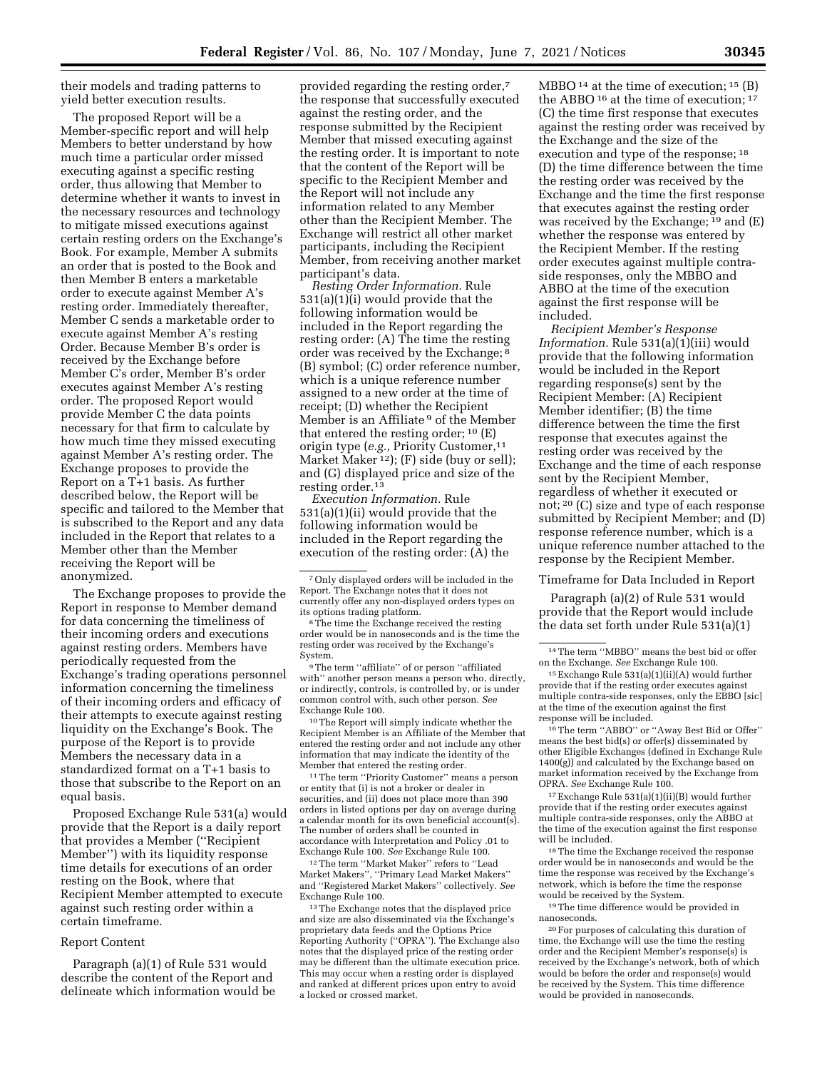their models and trading patterns to yield better execution results.

The proposed Report will be a Member-specific report and will help Members to better understand by how much time a particular order missed executing against a specific resting order, thus allowing that Member to determine whether it wants to invest in the necessary resources and technology to mitigate missed executions against certain resting orders on the Exchange's Book. For example, Member A submits an order that is posted to the Book and then Member B enters a marketable order to execute against Member A's resting order. Immediately thereafter, Member C sends a marketable order to execute against Member A's resting Order. Because Member B's order is received by the Exchange before Member C's order, Member B's order executes against Member A's resting order. The proposed Report would provide Member C the data points necessary for that firm to calculate by how much time they missed executing against Member A's resting order. The Exchange proposes to provide the Report on a T+1 basis. As further described below, the Report will be specific and tailored to the Member that is subscribed to the Report and any data included in the Report that relates to a Member other than the Member receiving the Report will be anonymized.

The Exchange proposes to provide the Report in response to Member demand for data concerning the timeliness of their incoming orders and executions against resting orders. Members have periodically requested from the Exchange's trading operations personnel information concerning the timeliness of their incoming orders and efficacy of their attempts to execute against resting liquidity on the Exchange's Book. The purpose of the Report is to provide Members the necessary data in a standardized format on a T+1 basis to those that subscribe to the Report on an equal basis.

Proposed Exchange Rule 531(a) would provide that the Report is a daily report that provides a Member (''Recipient Member'') with its liquidity response time details for executions of an order resting on the Book, where that Recipient Member attempted to execute against such resting order within a certain timeframe.

## Report Content

Paragraph (a)(1) of Rule 531 would describe the content of the Report and delineate which information would be

provided regarding the resting order,7 the response that successfully executed against the resting order, and the response submitted by the Recipient Member that missed executing against the resting order. It is important to note that the content of the Report will be specific to the Recipient Member and the Report will not include any information related to any Member other than the Recipient Member. The Exchange will restrict all other market participants, including the Recipient Member, from receiving another market participant's data.

*Resting Order Information.* Rule 531(a)(1)(i) would provide that the following information would be included in the Report regarding the resting order: (A) The time the resting order was received by the Exchange; 8 (B) symbol; (C) order reference number, which is a unique reference number assigned to a new order at the time of receipt; (D) whether the Recipient Member is an Affiliate 9 of the Member that entered the resting order;  $10$  (E) origin type (e.g., Priority Customer,<sup>11</sup> Market Maker<sup>12</sup>); (F) side (buy or sell); and (G) displayed price and size of the resting order.13

*Execution Information.* Rule 531(a)(1)(ii) would provide that the following information would be included in the Report regarding the execution of the resting order: (A) the

<sup>8</sup>The time the Exchange received the resting order would be in nanoseconds and is the time the resting order was received by the Exchange's System.

<sup>9</sup>The term "affiliate" of or person "affiliated with'' another person means a person who, directly, or indirectly, controls, is controlled by, or is under common control with, such other person. *See*  Exchange Rule 100.

<sup>10</sup>The Report will simply indicate whether the Recipient Member is an Affiliate of the Member that entered the resting order and not include any other information that may indicate the identity of the Member that entered the resting order.

<sup>11</sup> The term "Priority Customer" means a person or entity that (i) is not a broker or dealer in securities, and (ii) does not place more than 390 orders in listed options per day on average during a calendar month for its own beneficial account(s). The number of orders shall be counted in accordance with Interpretation and Policy .01 to Exchange Rule 100. *See* Exchange Rule 100.

12The term ''Market Maker'' refers to ''Lead Market Makers'', ''Primary Lead Market Makers'' and ''Registered Market Makers'' collectively. *See*  Exchange Rule 100.

<sup>13</sup>The Exchange notes that the displayed price and size are also disseminated via the Exchange's proprietary data feeds and the Options Price Reporting Authority (''OPRA''). The Exchange also notes that the displayed price of the resting order may be different than the ultimate execution price. This may occur when a resting order is displayed and ranked at different prices upon entry to avoid a locked or crossed market.

MBBO  $^{14}$  at the time of execution;  $^{15}$  (B) the ABBO 16 at the time of execution; 17 (C) the time first response that executes against the resting order was received by the Exchange and the size of the execution and type of the response; 18 (D) the time difference between the time the resting order was received by the Exchange and the time the first response that executes against the resting order was received by the Exchange;  $^{19}$  and (E) whether the response was entered by the Recipient Member. If the resting order executes against multiple contraside responses, only the MBBO and ABBO at the time of the execution against the first response will be included.

*Recipient Member's Response Information.* Rule 531(a)(1)(iii) would provide that the following information would be included in the Report regarding response(s) sent by the Recipient Member: (A) Recipient Member identifier; (B) the time difference between the time the first response that executes against the resting order was received by the Exchange and the time of each response sent by the Recipient Member, regardless of whether it executed or not; 20 (C) size and type of each response submitted by Recipient Member; and (D) response reference number, which is a unique reference number attached to the response by the Recipient Member.

#### Timeframe for Data Included in Report

Paragraph (a)(2) of Rule 531 would provide that the Report would include the data set forth under Rule 531(a)(1)

16The term ''ABBO'' or ''Away Best Bid or Offer'' means the best bid(s) or offer(s) disseminated by other Eligible Exchanges (defined in Exchange Rule 1400(g)) and calculated by the Exchange based on market information received by the Exchange from OPRA. *See* Exchange Rule 100.

17Exchange Rule 531(a)(1)(ii)(B) would further provide that if the resting order executes against multiple contra-side responses, only the ABBO at the time of the execution against the first response will be included.

18The time the Exchange received the response order would be in nanoseconds and would be the time the response was received by the Exchange's network, which is before the time the response would be received by the System.

19The time difference would be provided in nanoseconds.

20For purposes of calculating this duration of time, the Exchange will use the time the resting order and the Recipient Member's response(s) is received by the Exchange's network, both of which would be before the order and response(s) would be received by the System. This time difference would be provided in nanoseconds.

<sup>7</sup>Only displayed orders will be included in the Report. The Exchange notes that it does not currently offer any non-displayed orders types on its options trading platform.

<sup>14</sup>The term ''MBBO'' means the best bid or offer on the Exchange. *See* Exchange Rule 100.

<sup>15</sup>Exchange Rule 531(a)(1)(ii)(A) would further provide that if the resting order executes against multiple contra-side responses, only the EBBO [sic] at the time of the execution against the first response will be included.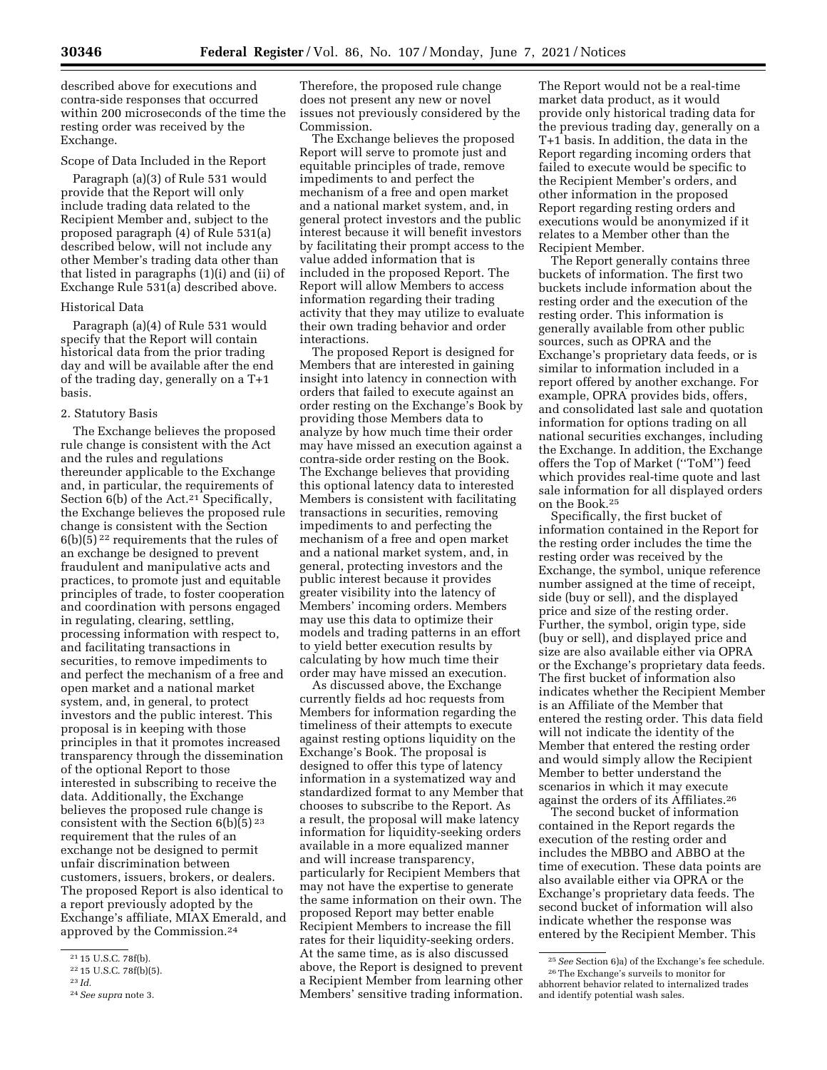described above for executions and contra-side responses that occurred within 200 microseconds of the time the resting order was received by the Exchange.

#### Scope of Data Included in the Report

Paragraph (a)(3) of Rule 531 would provide that the Report will only include trading data related to the Recipient Member and, subject to the proposed paragraph (4) of Rule 531(a) described below, will not include any other Member's trading data other than that listed in paragraphs (1)(i) and (ii) of Exchange Rule 531(a) described above.

#### Historical Data

Paragraph (a)(4) of Rule 531 would specify that the Report will contain historical data from the prior trading day and will be available after the end of the trading day, generally on a T+1 basis.

## 2. Statutory Basis

The Exchange believes the proposed rule change is consistent with the Act and the rules and regulations thereunder applicable to the Exchange and, in particular, the requirements of Section 6(b) of the Act.<sup>21</sup> Specifically, the Exchange believes the proposed rule change is consistent with the Section 6(b)(5) 22 requirements that the rules of an exchange be designed to prevent fraudulent and manipulative acts and practices, to promote just and equitable principles of trade, to foster cooperation and coordination with persons engaged in regulating, clearing, settling, processing information with respect to, and facilitating transactions in securities, to remove impediments to and perfect the mechanism of a free and open market and a national market system, and, in general, to protect investors and the public interest. This proposal is in keeping with those principles in that it promotes increased transparency through the dissemination of the optional Report to those interested in subscribing to receive the data. Additionally, the Exchange believes the proposed rule change is consistent with the Section  $6(b)(5)^{23}$ requirement that the rules of an exchange not be designed to permit unfair discrimination between customers, issuers, brokers, or dealers. The proposed Report is also identical to a report previously adopted by the Exchange's affiliate, MIAX Emerald, and approved by the Commission.24

Therefore, the proposed rule change does not present any new or novel issues not previously considered by the Commission.

The Exchange believes the proposed Report will serve to promote just and equitable principles of trade, remove impediments to and perfect the mechanism of a free and open market and a national market system, and, in general protect investors and the public interest because it will benefit investors by facilitating their prompt access to the value added information that is included in the proposed Report. The Report will allow Members to access information regarding their trading activity that they may utilize to evaluate their own trading behavior and order interactions.

The proposed Report is designed for Members that are interested in gaining insight into latency in connection with orders that failed to execute against an order resting on the Exchange's Book by providing those Members data to analyze by how much time their order may have missed an execution against a contra-side order resting on the Book. The Exchange believes that providing this optional latency data to interested Members is consistent with facilitating transactions in securities, removing impediments to and perfecting the mechanism of a free and open market and a national market system, and, in general, protecting investors and the public interest because it provides greater visibility into the latency of Members' incoming orders. Members may use this data to optimize their models and trading patterns in an effort to yield better execution results by calculating by how much time their order may have missed an execution.

As discussed above, the Exchange currently fields ad hoc requests from Members for information regarding the timeliness of their attempts to execute against resting options liquidity on the Exchange's Book. The proposal is designed to offer this type of latency information in a systematized way and standardized format to any Member that chooses to subscribe to the Report. As a result, the proposal will make latency information for liquidity-seeking orders available in a more equalized manner and will increase transparency, particularly for Recipient Members that may not have the expertise to generate the same information on their own. The proposed Report may better enable Recipient Members to increase the fill rates for their liquidity-seeking orders. At the same time, as is also discussed above, the Report is designed to prevent a Recipient Member from learning other Members' sensitive trading information.

The Report would not be a real-time market data product, as it would provide only historical trading data for the previous trading day, generally on a T+1 basis. In addition, the data in the Report regarding incoming orders that failed to execute would be specific to the Recipient Member's orders, and other information in the proposed Report regarding resting orders and executions would be anonymized if it relates to a Member other than the Recipient Member.

The Report generally contains three buckets of information. The first two buckets include information about the resting order and the execution of the resting order. This information is generally available from other public sources, such as OPRA and the Exchange's proprietary data feeds, or is similar to information included in a report offered by another exchange. For example, OPRA provides bids, offers, and consolidated last sale and quotation information for options trading on all national securities exchanges, including the Exchange. In addition, the Exchange offers the Top of Market (''ToM'') feed which provides real-time quote and last sale information for all displayed orders on the Book.25

Specifically, the first bucket of information contained in the Report for the resting order includes the time the resting order was received by the Exchange, the symbol, unique reference number assigned at the time of receipt, side (buy or sell), and the displayed price and size of the resting order. Further, the symbol, origin type, side (buy or sell), and displayed price and size are also available either via OPRA or the Exchange's proprietary data feeds. The first bucket of information also indicates whether the Recipient Member is an Affiliate of the Member that entered the resting order. This data field will not indicate the identity of the Member that entered the resting order and would simply allow the Recipient Member to better understand the scenarios in which it may execute against the orders of its Affiliates.26

The second bucket of information contained in the Report regards the execution of the resting order and includes the MBBO and ABBO at the time of execution. These data points are also available either via OPRA or the Exchange's proprietary data feeds. The second bucket of information will also indicate whether the response was entered by the Recipient Member. This

<sup>21</sup> 15 U.S.C. 78f(b).

<sup>22</sup> 15 U.S.C. 78f(b)(5).

<sup>23</sup> *Id.* 

<sup>24</sup>*See supra* note 3.

<sup>25</sup>*See* Section 6)a) of the Exchange's fee schedule. 26The Exchange's surveils to monitor for abhorrent behavior related to internalized trades and identify potential wash sales.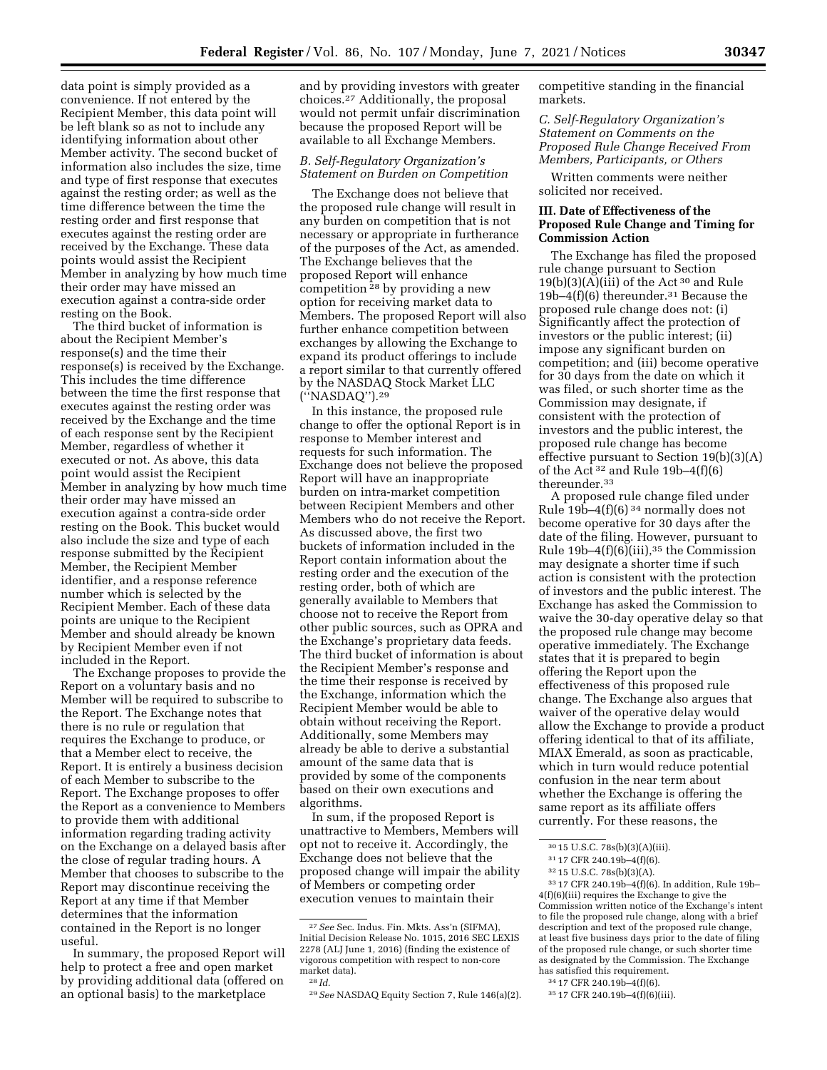data point is simply provided as a convenience. If not entered by the Recipient Member, this data point will be left blank so as not to include any identifying information about other Member activity. The second bucket of information also includes the size, time and type of first response that executes against the resting order; as well as the time difference between the time the resting order and first response that executes against the resting order are received by the Exchange. These data points would assist the Recipient Member in analyzing by how much time their order may have missed an execution against a contra-side order resting on the Book.

The third bucket of information is about the Recipient Member's response(s) and the time their response(s) is received by the Exchange. This includes the time difference between the time the first response that executes against the resting order was received by the Exchange and the time of each response sent by the Recipient Member, regardless of whether it executed or not. As above, this data point would assist the Recipient Member in analyzing by how much time their order may have missed an execution against a contra-side order resting on the Book. This bucket would also include the size and type of each response submitted by the Recipient Member, the Recipient Member identifier, and a response reference number which is selected by the Recipient Member. Each of these data points are unique to the Recipient Member and should already be known by Recipient Member even if not included in the Report.

The Exchange proposes to provide the Report on a voluntary basis and no Member will be required to subscribe to the Report. The Exchange notes that there is no rule or regulation that requires the Exchange to produce, or that a Member elect to receive, the Report. It is entirely a business decision of each Member to subscribe to the Report. The Exchange proposes to offer the Report as a convenience to Members to provide them with additional information regarding trading activity on the Exchange on a delayed basis after the close of regular trading hours. A Member that chooses to subscribe to the Report may discontinue receiving the Report at any time if that Member determines that the information contained in the Report is no longer useful.

In summary, the proposed Report will help to protect a free and open market by providing additional data (offered on an optional basis) to the marketplace

and by providing investors with greater choices.27 Additionally, the proposal would not permit unfair discrimination because the proposed Report will be available to all Exchange Members.

### *B. Self-Regulatory Organization's Statement on Burden on Competition*

The Exchange does not believe that the proposed rule change will result in any burden on competition that is not necessary or appropriate in furtherance of the purposes of the Act, as amended. The Exchange believes that the proposed Report will enhance competition 28 by providing a new option for receiving market data to Members. The proposed Report will also further enhance competition between exchanges by allowing the Exchange to expand its product offerings to include a report similar to that currently offered by the NASDAQ Stock Market LLC (''NASDAQ'').29

In this instance, the proposed rule change to offer the optional Report is in response to Member interest and requests for such information. The Exchange does not believe the proposed Report will have an inappropriate burden on intra-market competition between Recipient Members and other Members who do not receive the Report. As discussed above, the first two buckets of information included in the Report contain information about the resting order and the execution of the resting order, both of which are generally available to Members that choose not to receive the Report from other public sources, such as OPRA and the Exchange's proprietary data feeds. The third bucket of information is about the Recipient Member's response and the time their response is received by the Exchange, information which the Recipient Member would be able to obtain without receiving the Report. Additionally, some Members may already be able to derive a substantial amount of the same data that is provided by some of the components based on their own executions and algorithms.

In sum, if the proposed Report is unattractive to Members, Members will opt not to receive it. Accordingly, the Exchange does not believe that the proposed change will impair the ability of Members or competing order execution venues to maintain their

competitive standing in the financial markets.

## *C. Self-Regulatory Organization's Statement on Comments on the Proposed Rule Change Received From Members, Participants, or Others*

Written comments were neither solicited nor received.

# **III. Date of Effectiveness of the Proposed Rule Change and Timing for Commission Action**

The Exchange has filed the proposed rule change pursuant to Section  $19(b)(3)(A)(iii)$  of the Act<sup>30</sup> and Rule 19b–4(f)(6) thereunder.31 Because the proposed rule change does not: (i) Significantly affect the protection of investors or the public interest; (ii) impose any significant burden on competition; and (iii) become operative for 30 days from the date on which it was filed, or such shorter time as the Commission may designate, if consistent with the protection of investors and the public interest, the proposed rule change has become effective pursuant to Section 19(b)(3)(A) of the Act 32 and Rule 19b–4(f)(6) thereunder.33

A proposed rule change filed under Rule  $19b-4(f)(6)^{34}$  normally does not become operative for 30 days after the date of the filing. However, pursuant to Rule 19b-4(f)(6)(iii), $35$  the Commission may designate a shorter time if such action is consistent with the protection of investors and the public interest. The Exchange has asked the Commission to waive the 30-day operative delay so that the proposed rule change may become operative immediately. The Exchange states that it is prepared to begin offering the Report upon the effectiveness of this proposed rule change. The Exchange also argues that waiver of the operative delay would allow the Exchange to provide a product offering identical to that of its affiliate, MIAX Emerald, as soon as practicable, which in turn would reduce potential confusion in the near term about whether the Exchange is offering the same report as its affiliate offers currently. For these reasons, the

33 17 CFR 240.19b–4(f)(6). In addition, Rule 19b– 4(f)(6)(iii) requires the Exchange to give the Commission written notice of the Exchange's intent to file the proposed rule change, along with a brief description and text of the proposed rule change, at least five business days prior to the date of filing of the proposed rule change, or such shorter time as designated by the Commission. The Exchange has satisfied this requirement.

<sup>27</sup>*See* Sec. Indus. Fin. Mkts. Ass'n (SIFMA), Initial Decision Release No. 1015, 2016 SEC LEXIS 2278 (ALJ June 1, 2016) (finding the existence of vigorous competition with respect to non-core market data).

<sup>28</sup> *Id.* 

<sup>29</sup>*See* NASDAQ Equity Section 7, Rule 146(a)(2).

<sup>30</sup> 15 U.S.C. 78s(b)(3)(A)(iii).

<sup>31</sup> 17 CFR 240.19b–4(f)(6).

<sup>32</sup> 15 U.S.C. 78s(b)(3)(A).

<sup>34</sup> 17 CFR 240.19b–4(f)(6).

<sup>35</sup> 17 CFR 240.19b–4(f)(6)(iii).